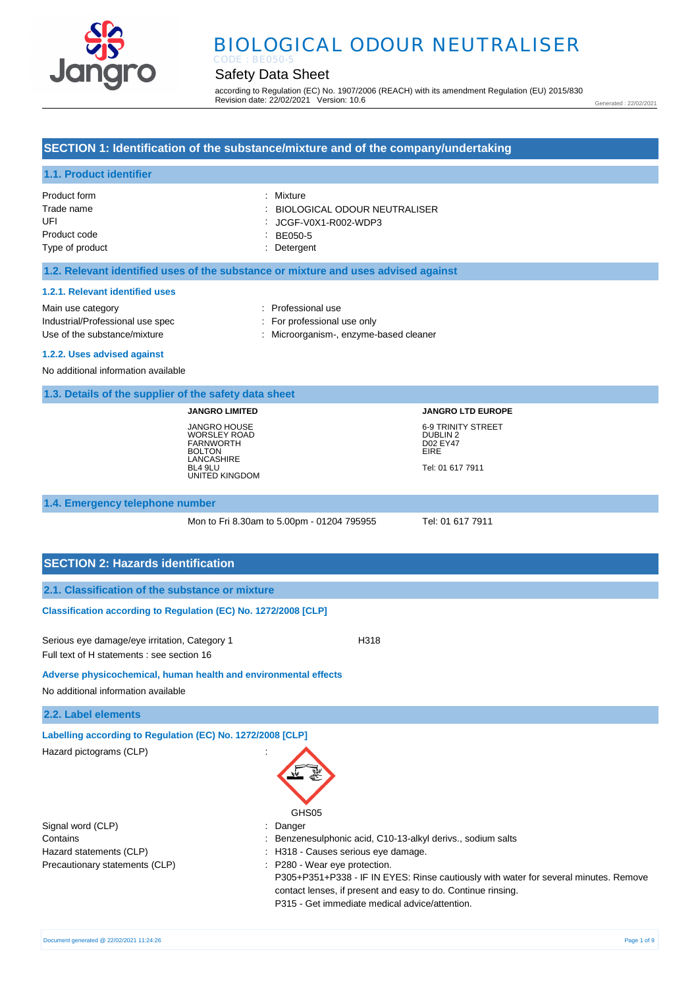

# BIOLOGICAL ODOUR NEUTRALISER

## Safety Data Sheet

according to Regulation (EC) No. 1907/2006 (REACH) with its amendment Regulation (EU) 2015/830 Revision date: 22/02/2021 Version: 10.6

Generated : 22/02/2021

### **SECTION 1: Identification of the substance/mixture and of the company/undertaking**

### **1.1. Product identifier**

| Product form    | : Mixture                      |
|-----------------|--------------------------------|
| Trade name      | : BIOLOGICAL ODOUR NEUTRALISER |
| UFI             | : JCGF-V0X1-R002-WDP3          |
| Product code    | $BE050-5$                      |
| Type of product | : Detergent                    |

#### **1.2. Relevant identified uses of the substance or mixture and uses advised against**

#### **1.2.1. Relevant identified uses**

Main use category **Example 20** and 20 and 20 and 20 and 20 and 20 and 20 and 20 and 20 and 20 and 20 and 20 and 20 and 20 and 20 and 20 and 20 and 20 and 20 and 20 and 20 and 20 and 20 and 20 and 20 and 20 and 20 and 20 an Industrial/Professional use spec : For professional use only

Use of the substance/mixture in the substance/mixture in the substance/mixture in the substance of the substance of  $\sim$  2011. Microorganism-, enzyme-based cleaner

**1.2.2. Uses advised against** 

No additional information available

#### **1.3. Details of the supplier of the safety data sheet**

**JANGRO LIMITED** JANGRO HOUSE WORSLEY ROAD FARNWORTH BOLTON LANCASHIRE BL4 9LU UNITED KINGDOM **JANGRO LTD EUROPE** 6-9 TRINITY STREET DUBLIN 2 D02 EY47 EIRE Tel: 01 617 7911

#### **1.4. Emergency telephone number**

Mon to Fri 8.30am to 5.00pm - 01204 795955 Tel: 01 617 7911

#### **SECTION 2: Hazards identification**

#### **Classification according to Regulation (EC) No. 1272/2008 [CLP]**

Serious eye damage/eye irritation, Category 1 H318 Full text of H statements : see section 16

#### **Adverse physicochemical, human health and environmental effects**

No additional information available

#### **2.2. Label elements**

**Labelling according to Regulation (EC) No. 1272/2008 [CLP]** 

| Hazard pictograms (CLP)        |                                                                                                                                                      |
|--------------------------------|------------------------------------------------------------------------------------------------------------------------------------------------------|
|                                | GHS <sub>05</sub>                                                                                                                                    |
| Signal word (CLP)              | : Danger                                                                                                                                             |
| Contains                       | Benzenesulphonic acid, C10-13-alkyl derivs., sodium salts                                                                                            |
| Hazard statements (CLP)        | : H318 - Causes serious eye damage.                                                                                                                  |
| Precautionary statements (CLP) | P280 - Wear eye protection.                                                                                                                          |
|                                | P305+P351+P338 - IF IN EYES: Rinse cautiously with water for several minutes. Remove<br>contact lenses, if present and easy to do. Continue rinsing. |
|                                | P315 - Get immediate medical advice/attention.                                                                                                       |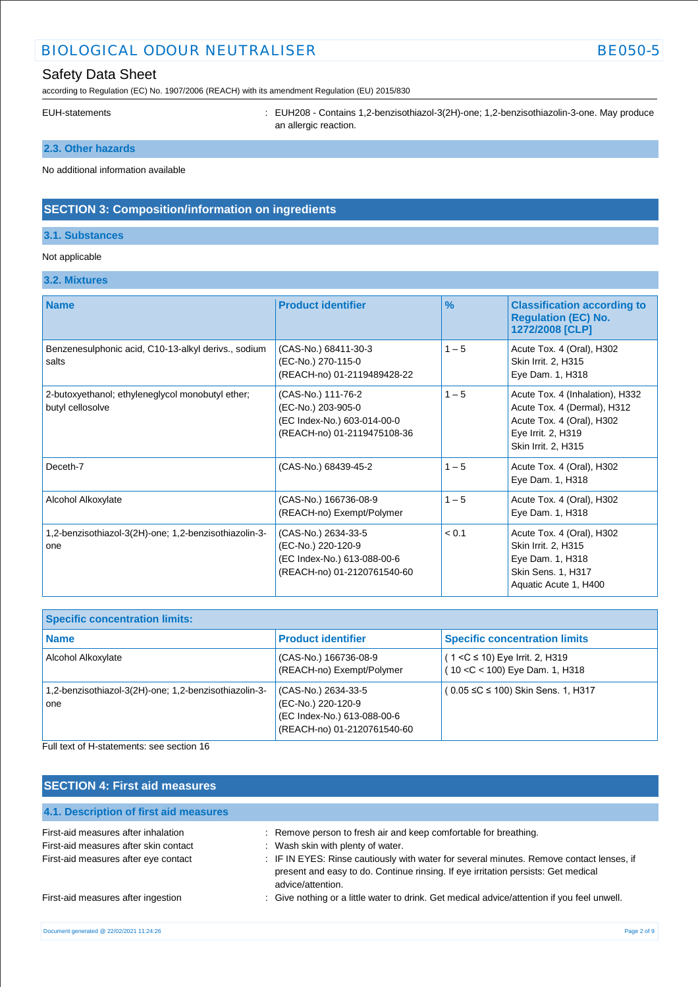## BIOLOGICAL ODOUR NEUTRALISER BE050-5

## Safety Data Sheet

according to Regulation (EC) No. 1907/2006 (REACH) with its amendment Regulation (EU) 2015/830

EUH-statements : EUH208 - Contains 1,2-benzisothiazol-3(2H)-one; 1,2-benzisothiazolin-3-one. May produce an allergic reaction.

## **2.3. Other hazards**

No additional information available

### **SECTION 3: Composition/information on ingredients**

#### **3.1. Substances**

#### Not applicable

### **3.2. Mixtures**

| <b>Name</b>                                                          | <b>Product identifier</b>                                                                               | $\frac{9}{6}$ | <b>Classification according to</b><br><b>Regulation (EC) No.</b><br>1272/2008 [CLP]                                                      |
|----------------------------------------------------------------------|---------------------------------------------------------------------------------------------------------|---------------|------------------------------------------------------------------------------------------------------------------------------------------|
| Benzenesulphonic acid, C10-13-alkyl derivs., sodium<br>salts         | (CAS-No.) 68411-30-3<br>(EC-No.) 270-115-0<br>(REACH-no) 01-2119489428-22                               | $1 - 5$       | Acute Tox. 4 (Oral), H302<br>Skin Irrit. 2, H315<br>Eye Dam. 1, H318                                                                     |
| 2-butoxyethanol; ethyleneglycol monobutyl ether;<br>butyl cellosolve | (CAS-No.) 111-76-2<br>(EC-No.) 203-905-0<br>(EC Index-No.) 603-014-00-0<br>(REACH-no) 01-2119475108-36  | $1 - 5$       | Acute Tox. 4 (Inhalation), H332<br>Acute Tox. 4 (Dermal), H312<br>Acute Tox. 4 (Oral), H302<br>Eye Irrit. 2, H319<br>Skin Irrit. 2, H315 |
| Deceth-7                                                             | (CAS-No.) 68439-45-2                                                                                    | $1 - 5$       | Acute Tox. 4 (Oral), H302<br>Eye Dam. 1, H318                                                                                            |
| Alcohol Alkoxylate                                                   | (CAS-No.) 166736-08-9<br>(REACH-no) Exempt/Polymer                                                      | $1 - 5$       | Acute Tox. 4 (Oral), H302<br>Eye Dam. 1, H318                                                                                            |
| 1,2-benzisothiazol-3(2H)-one; 1,2-benzisothiazolin-3-<br>one         | (CAS-No.) 2634-33-5<br>(EC-No.) 220-120-9<br>(EC Index-No.) 613-088-00-6<br>(REACH-no) 01-2120761540-60 | < 0.1         | Acute Tox. 4 (Oral), H302<br>Skin Irrit. 2, H315<br>Eye Dam. 1, H318<br>Skin Sens. 1, H317<br>Aquatic Acute 1, H400                      |

| <b>Specific concentration limits:</b>                        |                                                                                                         |                                                                        |
|--------------------------------------------------------------|---------------------------------------------------------------------------------------------------------|------------------------------------------------------------------------|
| <b>Name</b>                                                  | <b>Product identifier</b>                                                                               | <b>Specific concentration limits</b>                                   |
| Alcohol Alkoxylate                                           | (CAS-No.) 166736-08-9<br>(REACH-no) Exempt/Polymer                                                      | $(1 < C \le 10)$ Eye Irrit. 2, H319<br>(10 < C < 100) Eye Dam. 1, H318 |
| 1,2-benzisothiazol-3(2H)-one; 1,2-benzisothiazolin-3-<br>one | (CAS-No.) 2634-33-5<br>(EC-No.) 220-120-9<br>(EC Index-No.) 613-088-00-6<br>(REACH-no) 01-2120761540-60 | (0.05 ≤C ≤ 100) Skin Sens. 1, H317                                     |

Full text of H-statements: see section 16

## **SECTION 4: First aid measures**

| 4.1. Description of first aid measures |                                                                                                                                                                                                    |
|----------------------------------------|----------------------------------------------------------------------------------------------------------------------------------------------------------------------------------------------------|
| First-aid measures after inhalation    | : Remove person to fresh air and keep comfortable for breathing.                                                                                                                                   |
| First-aid measures after skin contact  | : Wash skin with plenty of water.                                                                                                                                                                  |
| First-aid measures after eye contact   | : IF IN EYES: Rinse cautiously with water for several minutes. Remove contact lenses, if<br>present and easy to do. Continue rinsing. If eye irritation persists: Get medical<br>advice/attention. |
| First-aid measures after ingestion     | : Give nothing or a little water to drink. Get medical advice/attention if you feel unwell.                                                                                                        |
|                                        |                                                                                                                                                                                                    |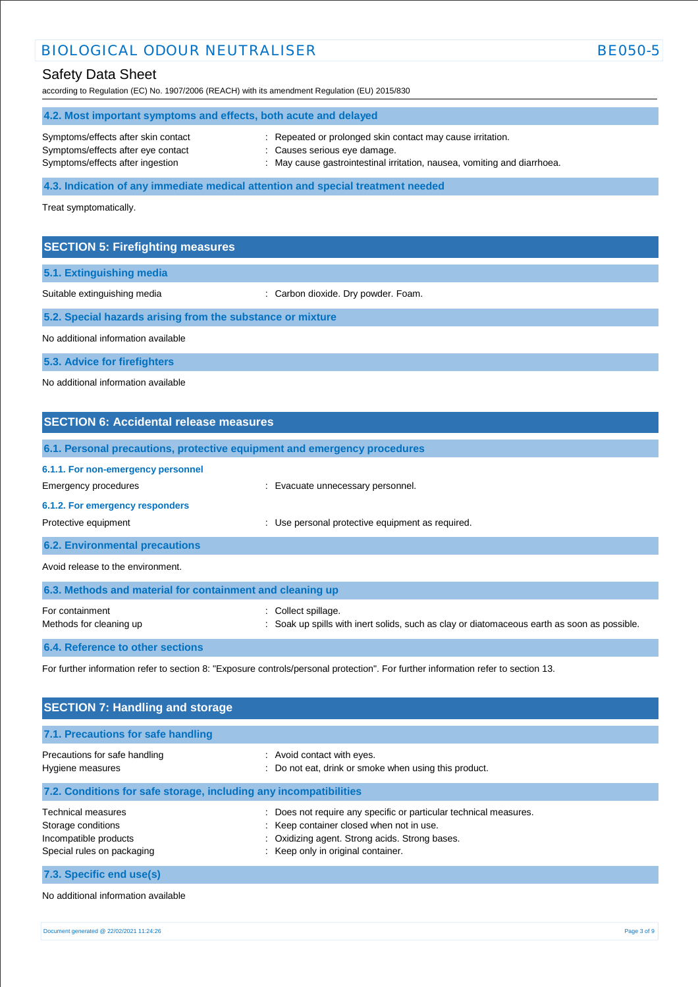## BIOLOGICAL ODOUR NEUTRALISER BE050-5

## Safety Data Sheet

according to Regulation (EC) No. 1907/2006 (REACH) with its amendment Regulation (EU) 2015/830

| 4.2. Most important symptoms and effects, both acute and delayed |                                                                        |  |
|------------------------------------------------------------------|------------------------------------------------------------------------|--|
| Symptoms/effects after skin contact                              | Repeated or prolonged skin contact may cause irritation.               |  |
| Symptoms/effects after eye contact                               | : Causes serious eye damage.                                           |  |
| Symptoms/effects after ingestion                                 | May cause gastrointestinal irritation, nausea, vomiting and diarrhoea. |  |

**4.3. Indication of any immediate medical attention and special treatment needed**

Treat symptomatically.

## **SECTION 5: Firefighting measures**

**5.1. Extinguishing media**

Suitable extinguishing media  $\qquad \qquad : \qquad$  Carbon dioxide. Dry powder. Foam.

### **5.2. Special hazards arising from the substance or mixture**

No additional information available

**5.3. Advice for firefighters**

No additional information available

| <b>SECTION 6: Accidental release measures</b>                                                                         |                                                                                                                |  |
|-----------------------------------------------------------------------------------------------------------------------|----------------------------------------------------------------------------------------------------------------|--|
|                                                                                                                       | 6.1. Personal precautions, protective equipment and emergency procedures                                       |  |
| 6.1.1. For non-emergency personnel<br>Emergency procedures<br>6.1.2. For emergency responders<br>Protective equipment | : Evacuate unnecessary personnel.<br>: Use personal protective equipment as required.                          |  |
| <b>6.2. Environmental precautions</b>                                                                                 |                                                                                                                |  |
| Avoid release to the environment.                                                                                     |                                                                                                                |  |
| 6.3. Methods and material for containment and cleaning up                                                             |                                                                                                                |  |
| For containment<br>Methods for cleaning up                                                                            | Collect spillage.<br>Soak up spills with inert solids, such as clay or diatomaceous earth as soon as possible. |  |
| 6.4. Reference to other sections                                                                                      |                                                                                                                |  |

For further information refer to section 8: "Exposure controls/personal protection". For further information refer to section 13.

| <b>SECTION 7: Handling and storage</b>                                                          |                                                                                                                                                                                                              |  |
|-------------------------------------------------------------------------------------------------|--------------------------------------------------------------------------------------------------------------------------------------------------------------------------------------------------------------|--|
| 7.1. Precautions for safe handling                                                              |                                                                                                                                                                                                              |  |
| Precautions for safe handling<br>Hygiene measures                                               | : Avoid contact with eyes.<br>: Do not eat, drink or smoke when using this product.                                                                                                                          |  |
| 7.2. Conditions for safe storage, including any incompatibilities                               |                                                                                                                                                                                                              |  |
| Technical measures<br>Storage conditions<br>Incompatible products<br>Special rules on packaging | Does not require any specific or particular technical measures.<br>÷<br>: Keep container closed when not in use.<br>Oxidizing agent. Strong acids. Strong bases.<br>÷.<br>: Keep only in original container. |  |
| 7.3. Specific end use(s)                                                                        |                                                                                                                                                                                                              |  |

No additional information available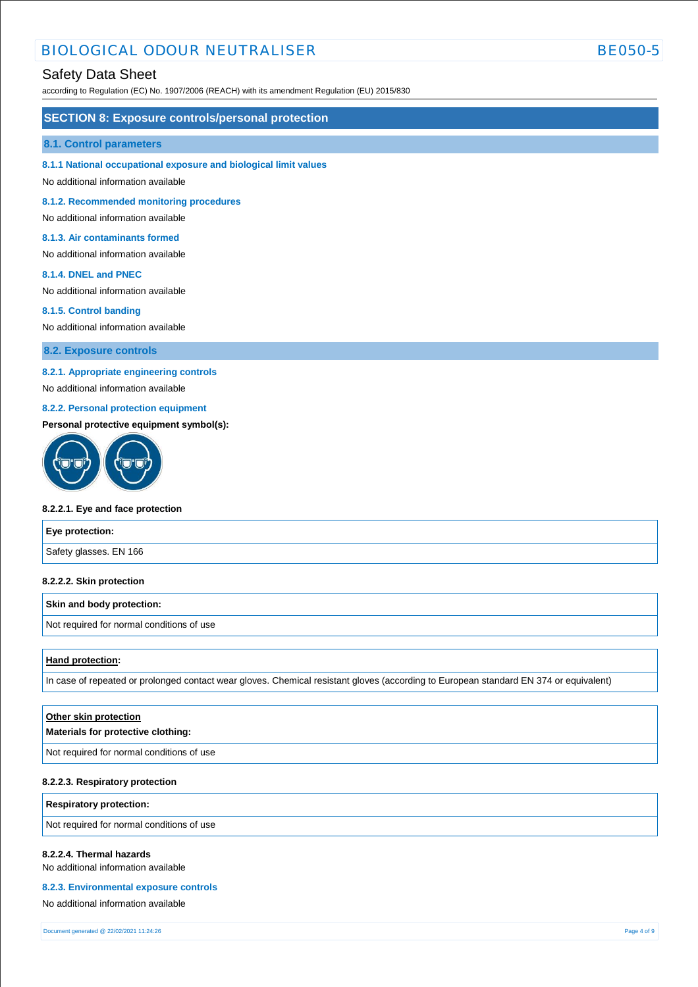## BIOLOGICAL ODOUR NEUTRALISER BEOSO-5

### Safety Data Sheet

according to Regulation (EC) No. 1907/2006 (REACH) with its amendment Regulation (EU) 2015/830

#### **SECTION 8: Exposure controls/personal protection**

#### **8.1. Control parameters**

**8.1.1 National occupational exposure and biological limit values** 

No additional information available

**8.1.2. Recommended monitoring procedures** 

No additional information available

#### **8.1.3. Air contaminants formed**

No additional information available

#### **8.1.4. DNEL and PNEC**

No additional information available

#### **8.1.5. Control banding**

No additional information available

**8.2. Exposure controls**

#### **8.2.1. Appropriate engineering controls**

No additional information available

#### **8.2.2. Personal protection equipment**

#### **Personal protective equipment symbol(s):**



#### **8.2.2.1. Eye and face protection**

| Eye protection:        |  |
|------------------------|--|
| Safety glasses. EN 166 |  |

#### **8.2.2.2. Skin protection**

#### **Skin and body protection:**

Not required for normal conditions of use

#### **Hand protection:**

In case of repeated or prolonged contact wear gloves. Chemical resistant gloves (according to European standard EN 374 or equivalent)

| Other skin protection<br>Materials for protective clothing: |
|-------------------------------------------------------------|
| Not required for normal conditions of use                   |
|                                                             |

#### **8.2.2.3. Respiratory protection**

**Respiratory protection:**

Not required for normal conditions of use

#### **8.2.2.4. Thermal hazards**

No additional information available

#### **8.2.3. Environmental exposure controls**

No additional information available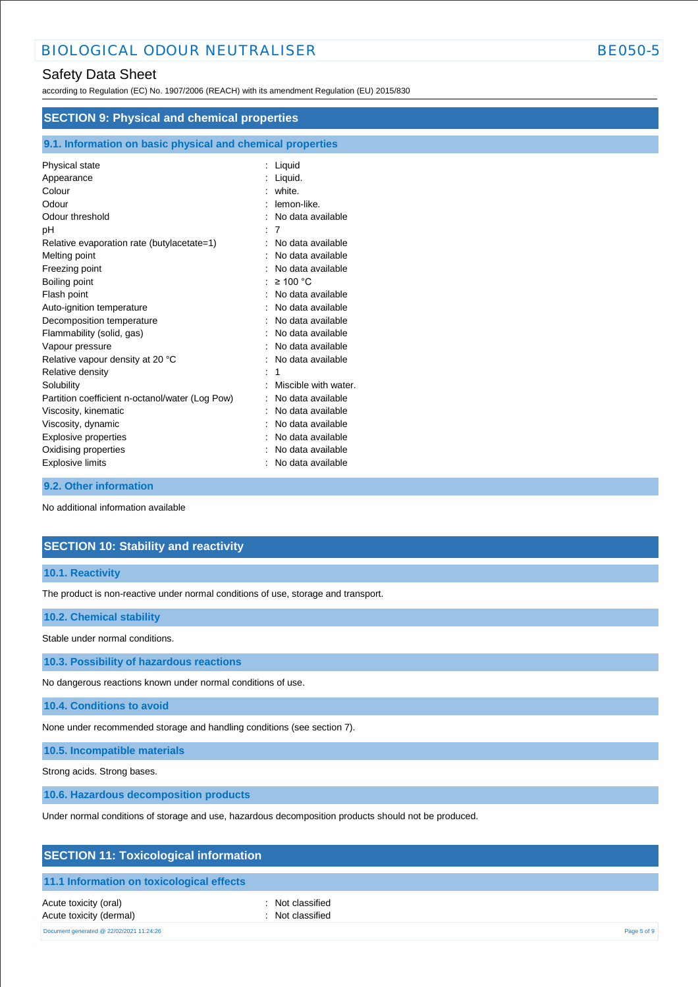## Safety Data Sheet

according to Regulation (EC) No. 1907/2006 (REACH) with its amendment Regulation (EU) 2015/830

| <b>SECTION 9: Physical and chemical properties</b>                                                                                                                                                                                                                                                                                                                                                                                                                         |                                                                                                                                                                                                                                                                                                                                                                                                             |  |
|----------------------------------------------------------------------------------------------------------------------------------------------------------------------------------------------------------------------------------------------------------------------------------------------------------------------------------------------------------------------------------------------------------------------------------------------------------------------------|-------------------------------------------------------------------------------------------------------------------------------------------------------------------------------------------------------------------------------------------------------------------------------------------------------------------------------------------------------------------------------------------------------------|--|
| 9.1. Information on basic physical and chemical properties                                                                                                                                                                                                                                                                                                                                                                                                                 |                                                                                                                                                                                                                                                                                                                                                                                                             |  |
| Physical state<br>Appearance<br>Colour<br>Odour<br>Odour threshold<br>рH<br>Relative evaporation rate (butylacetate=1)<br>Melting point<br>Freezing point<br>Boiling point<br>Flash point<br>Auto-ignition temperature<br>Decomposition temperature<br>Flammability (solid, gas)<br>Vapour pressure<br>Relative vapour density at 20 °C<br>Relative density<br>Solubility<br>Partition coefficient n-octanol/water (Log Pow)<br>Viscosity, kinematic<br>Viscosity, dynamic | : Liquid<br>: Liquid.<br>: white.<br>: lemon-like.<br>: No data available<br>: 7<br>: No data available<br>: No data available<br>: No data available<br>: $\geq 100$ °C<br>: No data available<br>: No data available<br>No data available<br>: No data available<br>: No data available<br>: No data available<br>Miscible with water.<br>: No data available<br>: No data available<br>No data available |  |
| <b>Explosive properties</b><br>Oxidising properties<br><b>Explosive limits</b>                                                                                                                                                                                                                                                                                                                                                                                             | No data available<br>: No data available<br>: No data available                                                                                                                                                                                                                                                                                                                                             |  |

#### **9.2. Other information**

No additional information available

## **SECTION 10: Stability and reactivity**

#### **10.1. Reactivity**

The product is non-reactive under normal conditions of use, storage and transport.

#### **10.2. Chemical stability**

Stable under normal conditions.

**10.3. Possibility of hazardous reactions**

No dangerous reactions known under normal conditions of use.

**10.4. Conditions to avoid**

None under recommended storage and handling conditions (see section 7).

**10.5. Incompatible materials**

Strong acids. Strong bases.

**10.6. Hazardous decomposition products**

Under normal conditions of storage and use, hazardous decomposition products should not be produced.

## **SECTION 11: Toxicological information**

#### **11.1 Information on toxicological effects**

Acute toxicity (oral) **interval** to the control of the control of the control of the control of the control of the control of the control of the control of the control of the control of the control of the control of the co Acute toxicity (dermal) **and in the case of the contract of the contract of the contract of the contract of the contract of the contract of the contract of the contract of the contract of the contract of the contract of th** 

Document generated @ 22/02/2021 11:24:26 Page 5 of 9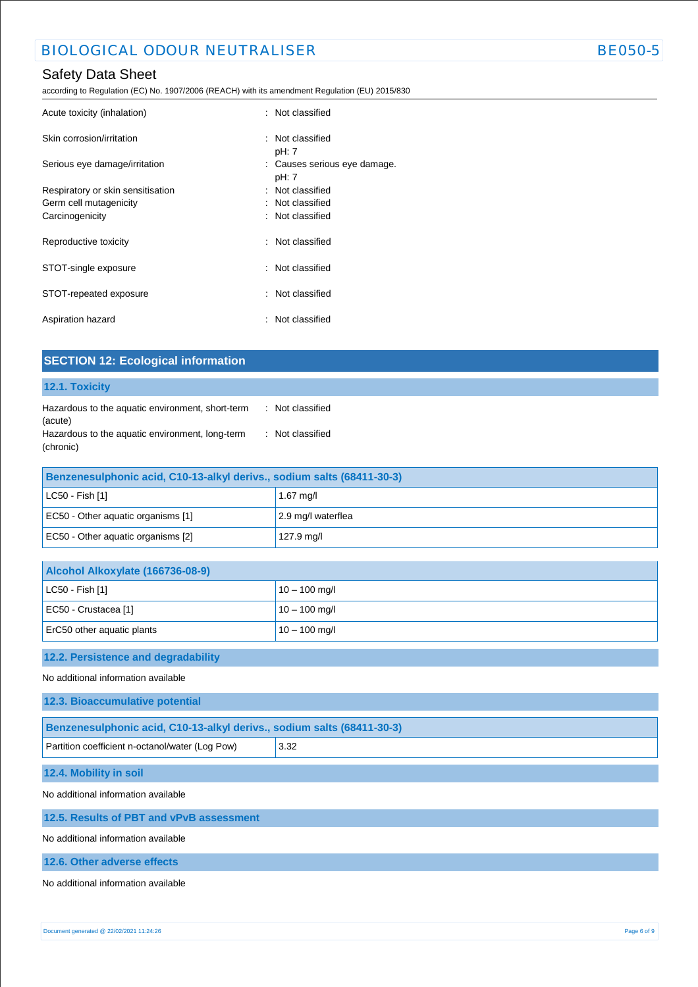according to Regulation (EC) No. 1907/2006 (REACH) with its amendment Regulation (EU) 2015/830

| : Not classified                      |
|---------------------------------------|
| : Not classified<br>pH: 7             |
| : Causes serious eye damage.<br>pH: 7 |
| : Not classified                      |
| : Not classified                      |
| : Not classified                      |
| : Not classified                      |
| : Not classified                      |
| : Not classified                      |
| : Not classified                      |
|                                       |

**SECTION 12: Ecological information**

| 12.1. Toxicity                                                         |                    |  |  |  |  |
|------------------------------------------------------------------------|--------------------|--|--|--|--|
| Hazardous to the aquatic environment, short-term<br>(acute)            | : Not classified   |  |  |  |  |
| Hazardous to the aquatic environment, long-term<br>(chronic)           | : Not classified   |  |  |  |  |
| Benzenesulphonic acid, C10-13-alkyl derivs., sodium salts (68411-30-3) |                    |  |  |  |  |
| LC50 - Fish [1]                                                        | 1.67 mg/l          |  |  |  |  |
| EC50 - Other aquatic organisms [1]                                     | 2.9 mg/l waterflea |  |  |  |  |
| EC50 - Other aquatic organisms [2]                                     | 127.9 mg/l         |  |  |  |  |
|                                                                        |                    |  |  |  |  |
| Alcohol Alkoxylate (166736-08-9)                                       |                    |  |  |  |  |
| LC50 - Fish [1]                                                        | $10 - 100$ mg/l    |  |  |  |  |
| EC50 - Crustacea [1]                                                   | $10 - 100$ mg/l    |  |  |  |  |
| ErC50 other aquatic plants                                             | $10 - 100$ mg/l    |  |  |  |  |
| 12.2. Persistence and degradability                                    |                    |  |  |  |  |
| No additional information available                                    |                    |  |  |  |  |
| 12.3. Bioaccumulative potential                                        |                    |  |  |  |  |
| Benzenesulphonic acid, C10-13-alkyl derivs., sodium salts (68411-30-3) |                    |  |  |  |  |
| Partition coefficient n-octanol/water (Log Pow)                        | 3.32               |  |  |  |  |
| 12.4. Mobility in soil                                                 |                    |  |  |  |  |
| No additional information available                                    |                    |  |  |  |  |
| 12.5. Results of PBT and vPvB assessment                               |                    |  |  |  |  |
| No additional information available                                    |                    |  |  |  |  |
| 12.6. Other adverse effects                                            |                    |  |  |  |  |
| No additional information available                                    |                    |  |  |  |  |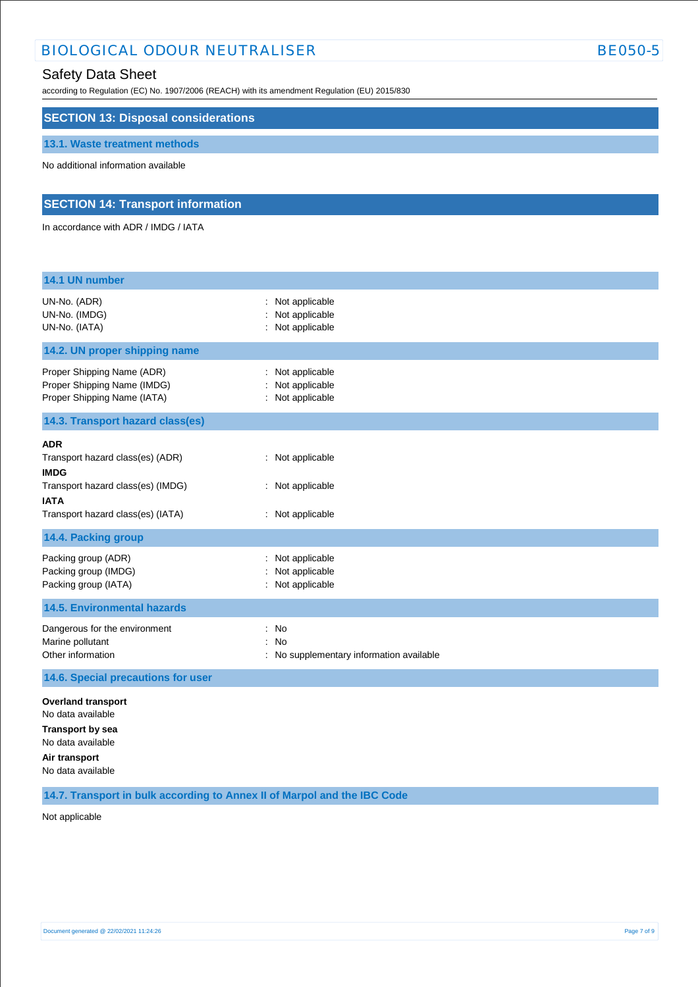## BIOLOGICAL ODOUR NEUTRALISER BE050-5

## Safety Data Sheet

according to Regulation (EC) No. 1907/2006 (REACH) with its amendment Regulation (EU) 2015/830

| <b>SECTION 13: Disposal considerations</b>                                                                                                      |                                                                                       |
|-------------------------------------------------------------------------------------------------------------------------------------------------|---------------------------------------------------------------------------------------|
| 13.1. Waste treatment methods                                                                                                                   |                                                                                       |
| No additional information available                                                                                                             |                                                                                       |
| <b>SECTION 14: Transport information</b>                                                                                                        |                                                                                       |
| In accordance with ADR / IMDG / IATA                                                                                                            |                                                                                       |
| 14.1 UN number                                                                                                                                  |                                                                                       |
| UN-No. (ADR)<br>UN-No. (IMDG)<br>UN-No. (IATA)                                                                                                  | Not applicable<br>Not applicable<br>: Not applicable                                  |
| 14.2. UN proper shipping name                                                                                                                   |                                                                                       |
| Proper Shipping Name (ADR)<br>Proper Shipping Name (IMDG)<br>Proper Shipping Name (IATA)                                                        | Not applicable<br>$\ddot{\phantom{a}}$<br>Not applicable<br>: Not applicable          |
| 14.3. Transport hazard class(es)                                                                                                                |                                                                                       |
| ADR<br>Transport hazard class(es) (ADR)<br><b>IMDG</b><br>Transport hazard class(es) (IMDG)<br><b>IATA</b><br>Transport hazard class(es) (IATA) | : Not applicable<br>: Not applicable<br>: Not applicable                              |
| 14.4. Packing group                                                                                                                             |                                                                                       |
| Packing group (ADR)<br>Packing group (IMDG)<br>Packing group (IATA)                                                                             | Not applicable<br>Not applicable<br>Not applicable                                    |
| <b>14.5. Environmental hazards</b>                                                                                                              |                                                                                       |
| Dangerous for the environment<br>Marine pollutant<br>Other information                                                                          | ÷<br>No<br>No<br>$\ddot{\phantom{a}}$<br>No supplementary information available<br>t. |
| 14.6. Special precautions for user                                                                                                              |                                                                                       |

**Overland transport** No data available **Transport by sea** No data available **Air transport** No data available

**14.7. Transport in bulk according to Annex II of Marpol and the IBC Code**

Not applicable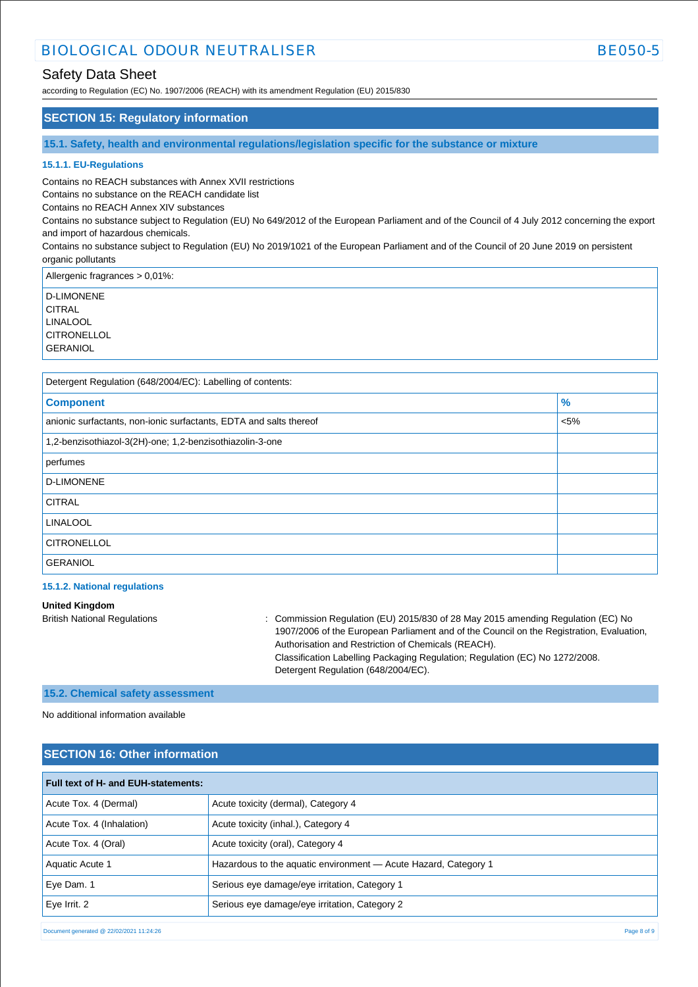## BIOLOGICAL ODOUR NEUTRALISER BEOSO-5

## Safety Data Sheet

according to Regulation (EC) No. 1907/2006 (REACH) with its amendment Regulation (EU) 2015/830

#### **SECTION 15: Regulatory information**

**15.1. Safety, health and environmental regulations/legislation specific for the substance or mixture**

#### **15.1.1. EU-Regulations**

Contains no REACH substances with Annex XVII restrictions

Contains no substance on the REACH candidate list

Contains no REACH Annex XIV substances

Contains no substance subject to Regulation (EU) No 649/2012 of the European Parliament and of the Council of 4 July 2012 concerning the export and import of hazardous chemicals.

Contains no substance subject to Regulation (EU) No 2019/1021 of the European Parliament and of the Council of 20 June 2019 on persistent organic pollutants

Allergenic fragrances > 0,01%:

D-LIMONENE **CITRAL** LINALOOL **CITRONELLOL GERANIOL** 

Detergent Regulation (648/2004/EC): Labelling of contents:

| <b>Component</b>                                                   | $\%$    |
|--------------------------------------------------------------------|---------|
| anionic surfactants, non-ionic surfactants, EDTA and salts thereof | $< 5\%$ |
| 1,2-benzisothiazol-3(2H)-one; 1,2-benzisothiazolin-3-one           |         |
| perfumes                                                           |         |
| D-LIMONENE                                                         |         |
| <b>CITRAL</b>                                                      |         |
| <b>LINALOOL</b>                                                    |         |
| <b>CITRONELLOL</b>                                                 |         |
| <b>GERANIOL</b>                                                    |         |

#### **15.1.2. National regulations**

**United Kingdom** British National Regulations : Commission Regulation (EU) 2015/830 of 28 May 2015 amending Regulation (EC) No 1907/2006 of the European Parliament and of the Council on the Registration, Evaluation, Authorisation and Restriction of Chemicals (REACH). Classification Labelling Packaging Regulation; Regulation (EC) No 1272/2008. Detergent Regulation (648/2004/EC).

#### **15.2. Chemical safety assessment**

No additional information available

### **SECTION 16: Other information**

| Full text of H- and EUH-statements: |                                                                 |  |  |  |
|-------------------------------------|-----------------------------------------------------------------|--|--|--|
| Acute Tox. 4 (Dermal)               | Acute toxicity (dermal), Category 4                             |  |  |  |
| Acute Tox. 4 (Inhalation)           | Acute toxicity (inhal.), Category 4                             |  |  |  |
| Acute Tox. 4 (Oral)                 | Acute toxicity (oral), Category 4                               |  |  |  |
| Aquatic Acute 1                     | Hazardous to the aquatic environment - Acute Hazard, Category 1 |  |  |  |
| Eye Dam. 1                          | Serious eye damage/eye irritation, Category 1                   |  |  |  |
| Eye Irrit. 2                        | Serious eye damage/eye irritation, Category 2                   |  |  |  |

Document generated @ 22/02/2021 11:24:26 Page 8 of 9